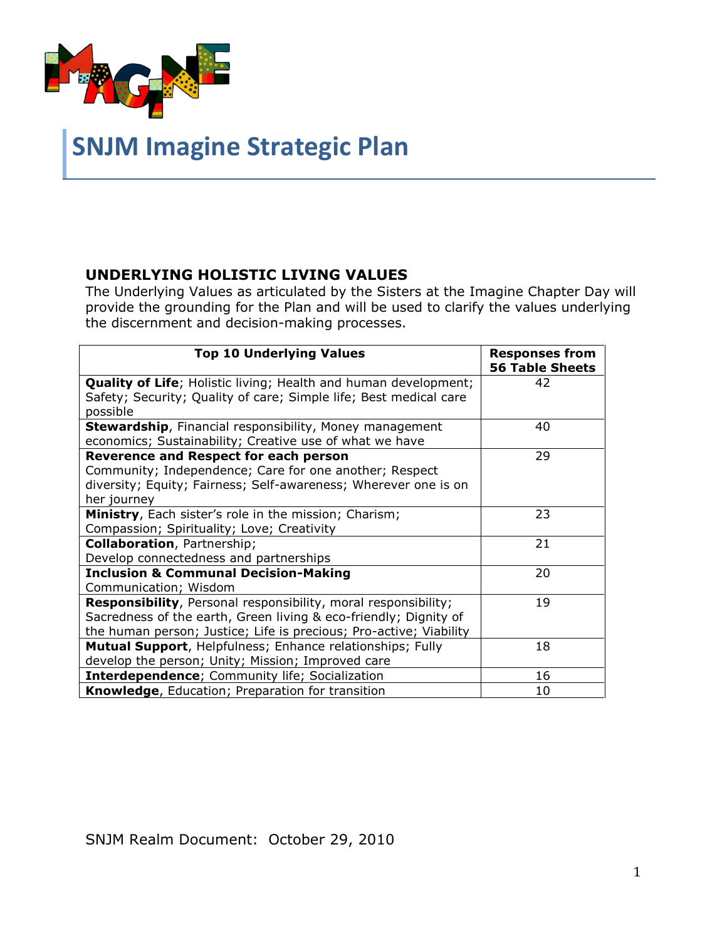

# **SNJM Imagine Strategic Plan**

#### **UNDERLYING HOLISTIC LIVING VALUES**

The Underlying Values as articulated by the Sisters at the Imagine Chapter Day will provide the grounding for the Plan and will be used to clarify the values underlying the discernment and decision-making processes.

| <b>Top 10 Underlying Values</b>                                                                                                                                                                                  | <b>Responses from</b><br><b>56 Table Sheets</b> |
|------------------------------------------------------------------------------------------------------------------------------------------------------------------------------------------------------------------|-------------------------------------------------|
| <b>Quality of Life</b> ; Holistic living; Health and human development;<br>Safety; Security; Quality of care; Simple life; Best medical care<br>possible                                                         | 42                                              |
| <b>Stewardship, Financial responsibility, Money management</b><br>economics; Sustainability; Creative use of what we have                                                                                        | 40                                              |
| <b>Reverence and Respect for each person</b><br>Community; Independence; Care for one another; Respect<br>diversity; Equity; Fairness; Self-awareness; Wherever one is on<br>her journey                         | 29                                              |
| Ministry, Each sister's role in the mission; Charism;<br>Compassion; Spirituality; Love; Creativity                                                                                                              | 23                                              |
| <b>Collaboration</b> , Partnership;<br>Develop connectedness and partnerships                                                                                                                                    | 21                                              |
| <b>Inclusion &amp; Communal Decision-Making</b><br>Communication; Wisdom                                                                                                                                         | 20                                              |
| <b>Responsibility</b> , Personal responsibility, moral responsibility;<br>Sacredness of the earth, Green living & eco-friendly; Dignity of<br>the human person; Justice; Life is precious; Pro-active; Viability | 19                                              |
| Mutual Support, Helpfulness; Enhance relationships; Fully<br>develop the person; Unity; Mission; Improved care                                                                                                   | 18                                              |
| <b>Interdependence;</b> Community life; Socialization                                                                                                                                                            | 16                                              |
| Knowledge, Education; Preparation for transition                                                                                                                                                                 | 10                                              |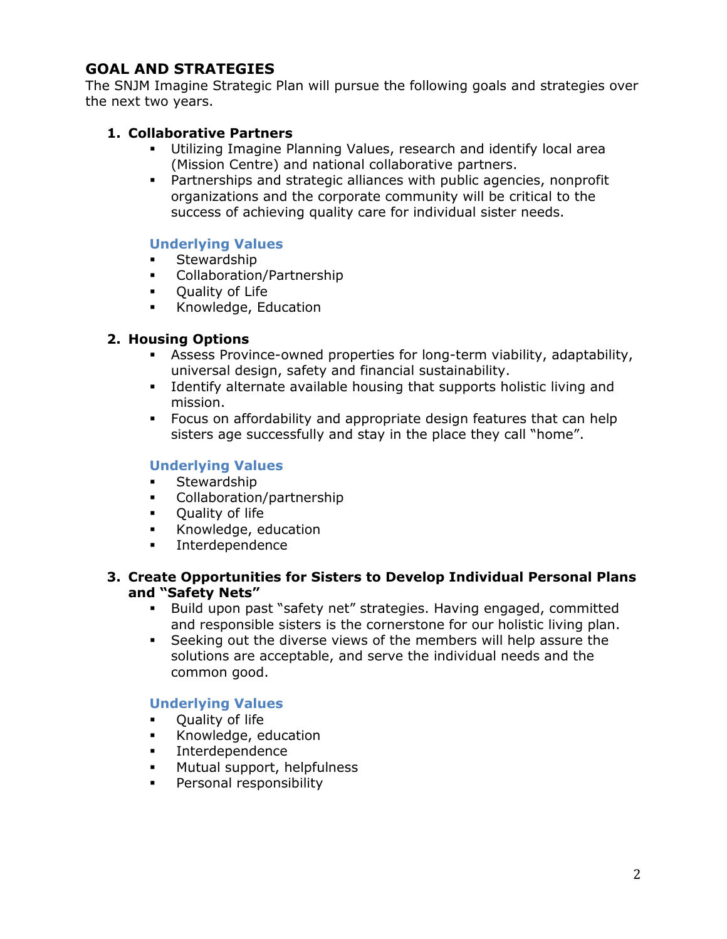## **GOAL AND STRATEGIES**

The SNJM Imagine Strategic Plan will pursue the following goals and strategies over the next two years.

#### **1. Collaborative Partners**

- Utilizing Imagine Planning Values, research and identify local area (Mission Centre) and national collaborative partners.
- Partnerships and strategic alliances with public agencies, nonprofit organizations and the corporate community will be critical to the success of achieving quality care for individual sister needs.

#### **Underlying Values**

- **Stewardship**
- Collaboration/Partnership
- **•** Quality of Life
- **Knowledge, Education**

#### **2. Housing Options**

- Assess Province-owned properties for long-term viability, adaptability, universal design, safety and financial sustainability.
- **I** Identify alternate available housing that supports holistic living and mission.
- Focus on affordability and appropriate design features that can help sisters age successfully and stay in the place they call "home".

#### **Underlying Values**

- **Stewardship**
- Collaboration/partnership
- **•** Quality of life
- Knowledge, education
- **Interdependence**

#### **3. Create Opportunities for Sisters to Develop Individual Personal Plans and "Safety Nets"**

- Build upon past "safety net" strategies. Having engaged, committed and responsible sisters is the cornerstone for our holistic living plan.
- Seeking out the diverse views of the members will help assure the solutions are acceptable, and serve the individual needs and the common good.

#### **Underlying Values**

- Quality of life
- **Knowledge, education**
- **Interdependence**
- Mutual support, helpfulness
- Personal responsibility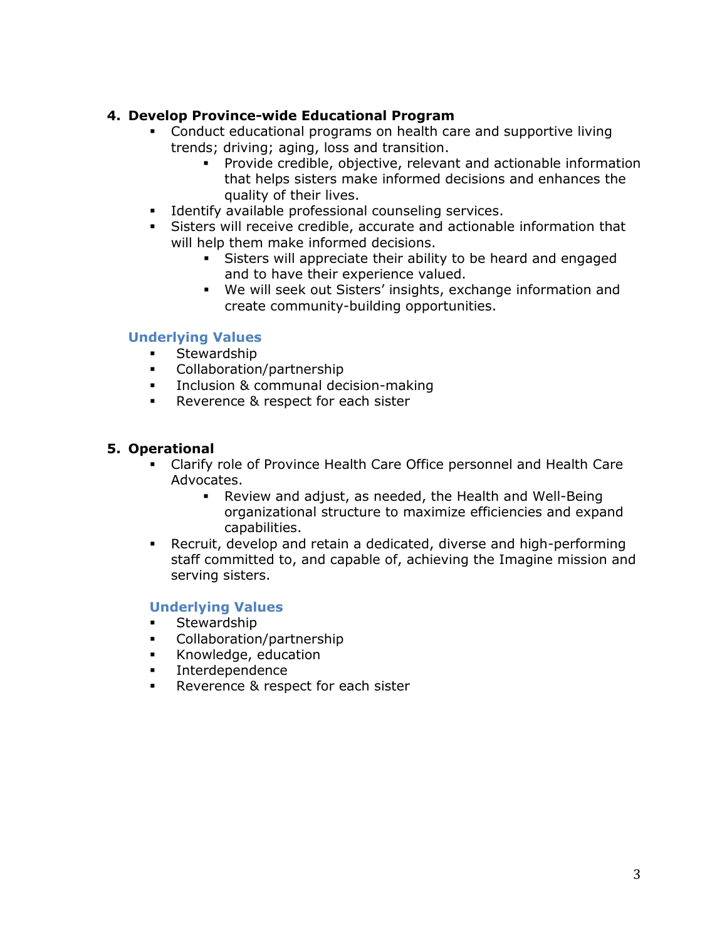#### **4. Develop Province-wide Educational Program**

- Conduct educational programs on health care and supportive living trends; driving; aging, loss and transition.
	- Provide credible, objective, relevant and actionable information that helps sisters make informed decisions and enhances the quality of their lives.
- **Identify available professional counseling services.**
- Sisters will receive credible, accurate and actionable information that will help them make informed decisions.
	- Sisters will appreciate their ability to be heard and engaged and to have their experience valued.
	- We will seek out Sisters' insights, exchange information and create community-building opportunities.

#### **Underlying Values**

- **Stewardship**
- Collaboration/partnership
- **Inclusion & communal decision-making**
- **Reverence & respect for each sister**

#### **5. Operational**

- Clarify role of Province Health Care Office personnel and Health Care Advocates.
	- Review and adjust, as needed, the Health and Well-Being organizational structure to maximize efficiencies and expand capabilities.
- Recruit, develop and retain a dedicated, diverse and high-performing staff committed to, and capable of, achieving the Imagine mission and serving sisters.

#### **Underlying Values**

- **Stewardship**
- Collaboration/partnership
- Knowledge, education
- Interdependence
- Reverence & respect for each sister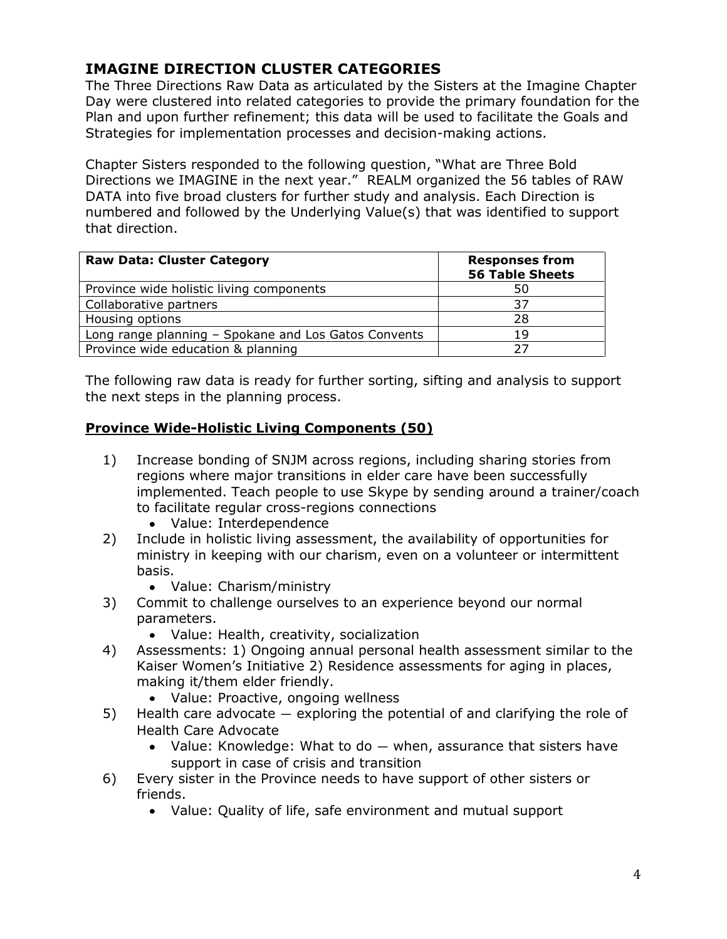# **IMAGINE DIRECTION CLUSTER CATEGORIES**

The Three Directions Raw Data as articulated by the Sisters at the Imagine Chapter Day were clustered into related categories to provide the primary foundation for the Plan and upon further refinement; this data will be used to facilitate the Goals and Strategies for implementation processes and decision-making actions.

Chapter Sisters responded to the following question, "What are Three Bold Directions we IMAGINE in the next year." REALM organized the 56 tables of RAW DATA into five broad clusters for further study and analysis. Each Direction is numbered and followed by the Underlying Value(s) that was identified to support that direction.

| <b>Raw Data: Cluster Category</b>                    | <b>Responses from</b><br><b>56 Table Sheets</b> |
|------------------------------------------------------|-------------------------------------------------|
| Province wide holistic living components             | 50                                              |
| Collaborative partners                               | 37                                              |
| Housing options                                      | 28                                              |
| Long range planning - Spokane and Los Gatos Convents | 19                                              |
| Province wide education & planning                   | つフ                                              |

The following raw data is ready for further sorting, sifting and analysis to support the next steps in the planning process.

#### **Province Wide-Holistic Living Components (50)**

- 1) Increase bonding of SNJM across regions, including sharing stories from regions where major transitions in elder care have been successfully implemented. Teach people to use Skype by sending around a trainer/coach to facilitate regular cross-regions connections
	- Value: Interdependence
- 2) Include in holistic living assessment, the availability of opportunities for ministry in keeping with our charism, even on a volunteer or intermittent basis.
	- Value: Charism/ministry
- 3) Commit to challenge ourselves to an experience beyond our normal parameters.
	- Value: Health, creativity, socialization
- 4) Assessments: 1) Ongoing annual personal health assessment similar to the Kaiser Women's Initiative 2) Residence assessments for aging in places, making it/them elder friendly.
	- Value: Proactive, ongoing wellness
- 5) Health care advocate exploring the potential of and clarifying the role of Health Care Advocate
	- Value: Knowledge: What to do when, assurance that sisters have support in case of crisis and transition
- 6) Every sister in the Province needs to have support of other sisters or friends.
	- Value: Quality of life, safe environment and mutual support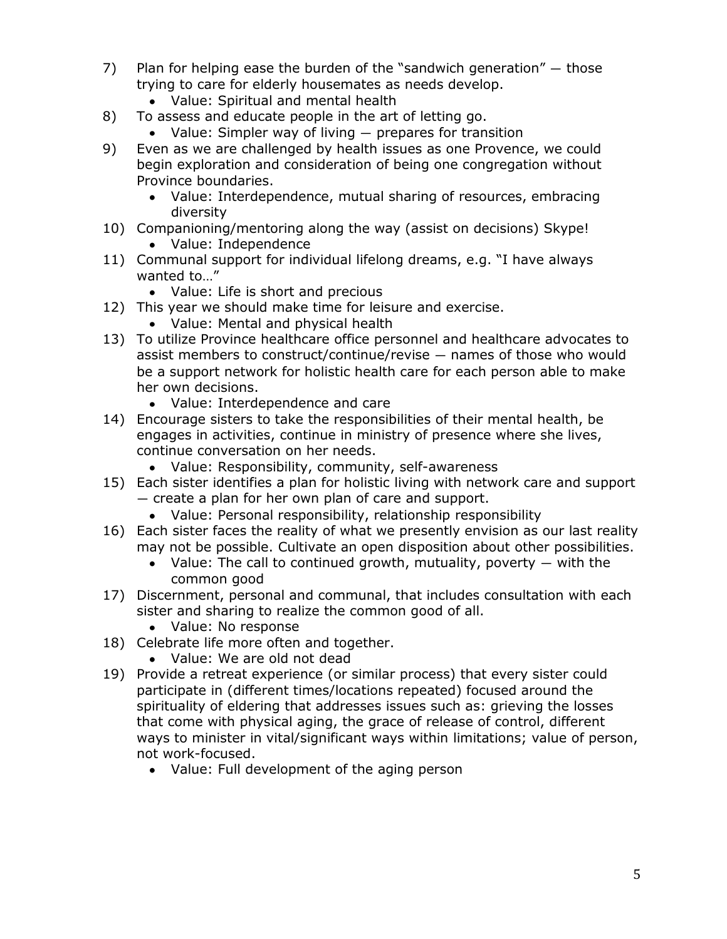- 7) Plan for helping ease the burden of the "sandwich generation"  $-$  those trying to care for elderly housemates as needs develop.
	- Value: Spiritual and mental health
- 8) To assess and educate people in the art of letting go.
	- Value: Simpler way of living prepares for transition
- 9) Even as we are challenged by health issues as one Provence, we could begin exploration and consideration of being one congregation without Province boundaries.
	- Value: Interdependence, mutual sharing of resources, embracing diversity
- 10) Companioning/mentoring along the way (assist on decisions) Skype!
	- Value: Independence
- 11) Communal support for individual lifelong dreams, e.g. "I have always wanted to..."
	- Value: Life is short and precious
- 12) This year we should make time for leisure and exercise.
	- Value: Mental and physical health
- 13) To utilize Province healthcare office personnel and healthcare advocates to assist members to construct/continue/revise — names of those who would be a support network for holistic health care for each person able to make her own decisions.
	- Value: Interdependence and care
- 14) Encourage sisters to take the responsibilities of their mental health, be engages in activities, continue in ministry of presence where she lives, continue conversation on her needs.
	- Value: Responsibility, community, self-awareness
- 15) Each sister identifies a plan for holistic living with network care and support — create a plan for her own plan of care and support.
	- Value: Personal responsibility, relationship responsibility
- 16) Each sister faces the reality of what we presently envision as our last reality may not be possible. Cultivate an open disposition about other possibilities.
	- Value: The call to continued growth, mutuality, poverty  $-$  with the common good
- 17) Discernment, personal and communal, that includes consultation with each sister and sharing to realize the common good of all.
	- Value: No response
- 18) Celebrate life more often and together.
	- Value: We are old not dead
- 19) Provide a retreat experience (or similar process) that every sister could participate in (different times/locations repeated) focused around the spirituality of eldering that addresses issues such as: grieving the losses that come with physical aging, the grace of release of control, different ways to minister in vital/significant ways within limitations; value of person, not work-focused.
	- Value: Full development of the aging person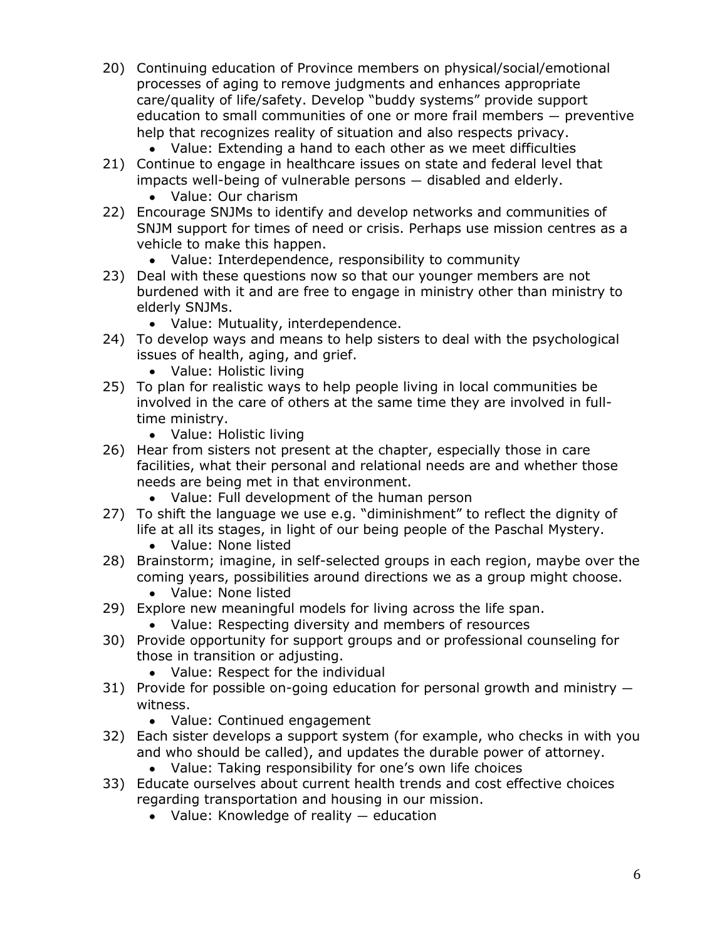- 20) Continuing education of Province members on physical/social/emotional processes of aging to remove judgments and enhances appropriate care/quality of life/safety. Develop "buddy systems" provide support education to small communities of one or more frail members — preventive help that recognizes reality of situation and also respects privacy.
	- Value: Extending a hand to each other as we meet difficulties
- 21) Continue to engage in healthcare issues on state and federal level that impacts well-being of vulnerable persons — disabled and elderly.
	- Value: Our charism
- 22) Encourage SNJMs to identify and develop networks and communities of SNJM support for times of need or crisis. Perhaps use mission centres as a vehicle to make this happen.
	- Value: Interdependence, responsibility to community
- 23) Deal with these questions now so that our younger members are not burdened with it and are free to engage in ministry other than ministry to elderly SNJMs.
	- Value: Mutuality, interdependence.
- 24) To develop ways and means to help sisters to deal with the psychological issues of health, aging, and grief.
	- Value: Holistic living
- 25) To plan for realistic ways to help people living in local communities be involved in the care of others at the same time they are involved in fulltime ministry.
	- Value: Holistic living
- 26) Hear from sisters not present at the chapter, especially those in care facilities, what their personal and relational needs are and whether those needs are being met in that environment.
	- Value: Full development of the human person
- 27) To shift the language we use e.g. "diminishment" to reflect the dignity of life at all its stages, in light of our being people of the Paschal Mystery.
	- Value: None listed
- 28) Brainstorm; imagine, in self-selected groups in each region, maybe over the coming years, possibilities around directions we as a group might choose.
	- Value: None listed
- 29) Explore new meaningful models for living across the life span.
	- Value: Respecting diversity and members of resources
- 30) Provide opportunity for support groups and or professional counseling for those in transition or adjusting.
	- Value: Respect for the individual
- 31) Provide for possible on-going education for personal growth and ministry witness.
	- Value: Continued engagement
- 32) Each sister develops a support system (for example, who checks in with you and who should be called), and updates the durable power of attorney.
	- Value: Taking responsibility for one's own life choices
- 33) Educate ourselves about current health trends and cost effective choices regarding transportation and housing in our mission.
	- Value: Knowledge of reality education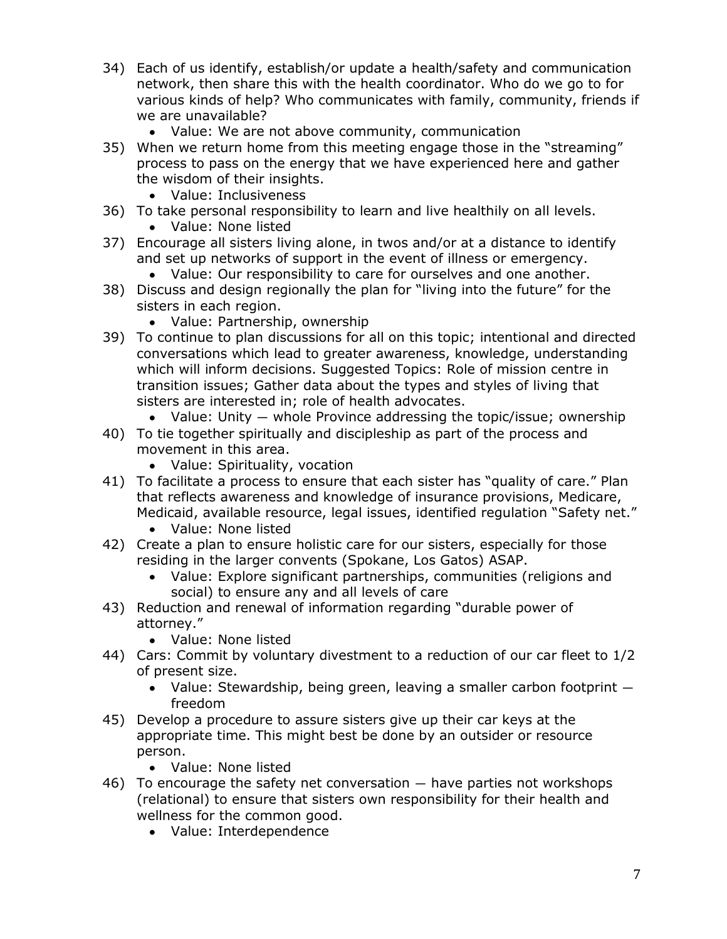- 34) Each of us identify, establish/or update a health/safety and communication network, then share this with the health coordinator. Who do we go to for various kinds of help? Who communicates with family, community, friends if we are unavailable?
	- Value: We are not above community, communication
- 35) When we return home from this meeting engage those in the "streaming" process to pass on the energy that we have experienced here and gather the wisdom of their insights.
	- Value: Inclusiveness
- 36) To take personal responsibility to learn and live healthily on all levels.
	- Value: None listed
- 37) Encourage all sisters living alone, in twos and/or at a distance to identify and set up networks of support in the event of illness or emergency.
	- Value: Our responsibility to care for ourselves and one another.
- 38) Discuss and design regionally the plan for "living into the future" for the sisters in each region.
	- Value: Partnership, ownership
- 39) To continue to plan discussions for all on this topic; intentional and directed conversations which lead to greater awareness, knowledge, understanding which will inform decisions. Suggested Topics: Role of mission centre in transition issues; Gather data about the types and styles of living that sisters are interested in; role of health advocates.
	- Value: Unity whole Province addressing the topic/issue; ownership
- 40) To tie together spiritually and discipleship as part of the process and movement in this area.
	- Value: Spirituality, vocation
- 41) To facilitate a process to ensure that each sister has "quality of care." Plan that reflects awareness and knowledge of insurance provisions, Medicare, Medicaid, available resource, legal issues, identified regulation "Safety net."
	- Value: None listed
- 42) Create a plan to ensure holistic care for our sisters, especially for those residing in the larger convents (Spokane, Los Gatos) ASAP.
	- Value: Explore significant partnerships, communities (religions and social) to ensure any and all levels of care
- 43) Reduction and renewal of information regarding "durable power of attorney."
	- Value: None listed
- 44) Cars: Commit by voluntary divestment to a reduction of our car fleet to 1/2 of present size.
	- Value: Stewardship, being green, leaving a smaller carbon footprint  $$ freedom
- 45) Develop a procedure to assure sisters give up their car keys at the appropriate time. This might best be done by an outsider or resource person.
	- Value: None listed
- 46) To encourage the safety net conversation have parties not workshops (relational) to ensure that sisters own responsibility for their health and wellness for the common good.
	- Value: Interdependence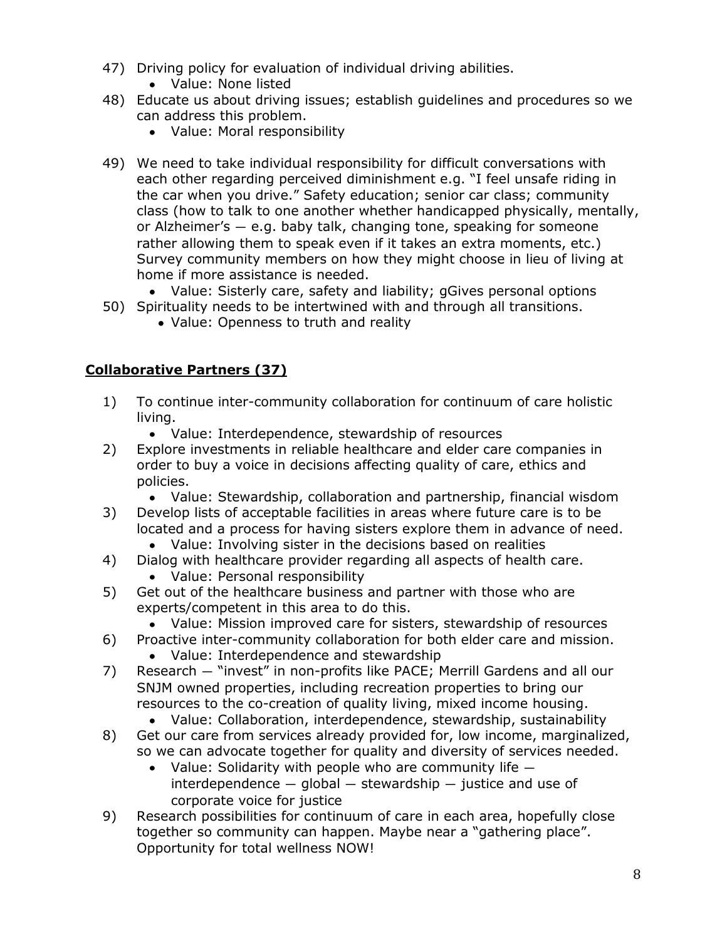- 47) Driving policy for evaluation of individual driving abilities.
	- Value: None listed
- 48) Educate us about driving issues; establish guidelines and procedures so we can address this problem.
	- Value: Moral responsibility
- 49) We need to take individual responsibility for difficult conversations with each other regarding perceived diminishment e.g. "I feel unsafe riding in the car when you drive." Safety education; senior car class; community class (how to talk to one another whether handicapped physically, mentally, or Alzheimer's — e.g. baby talk, changing tone, speaking for someone rather allowing them to speak even if it takes an extra moments, etc.) Survey community members on how they might choose in lieu of living at home if more assistance is needed.
	- Value: Sisterly care, safety and liability; gGives personal options
- 50) Spirituality needs to be intertwined with and through all transitions.
	- Value: Openness to truth and reality

#### **Collaborative Partners (37)**

- 1) To continue inter-community collaboration for continuum of care holistic living.
	- Value: Interdependence, stewardship of resources
- 2) Explore investments in reliable healthcare and elder care companies in order to buy a voice in decisions affecting quality of care, ethics and policies.
	- Value: Stewardship, collaboration and partnership, financial wisdom
- 3) Develop lists of acceptable facilities in areas where future care is to be located and a process for having sisters explore them in advance of need.
	- Value: Involving sister in the decisions based on realities
- 4) Dialog with healthcare provider regarding all aspects of health care.
	- Value: Personal responsibility
- 5) Get out of the healthcare business and partner with those who are experts/competent in this area to do this.
	- Value: Mission improved care for sisters, stewardship of resources
- 6) Proactive inter-community collaboration for both elder care and mission.
	- Value: Interdependence and stewardship
- 7) Research "invest" in non-profits like PACE; Merrill Gardens and all our SNJM owned properties, including recreation properties to bring our resources to the co-creation of quality living, mixed income housing.
	- Value: Collaboration, interdependence, stewardship, sustainability
- 8) Get our care from services already provided for, low income, marginalized, so we can advocate together for quality and diversity of services needed.
	- Value: Solidarity with people who are community life  $$  $interdependence - global - stewardship - justice and use of$ corporate voice for justice
- 9) Research possibilities for continuum of care in each area, hopefully close together so community can happen. Maybe near a "gathering place". Opportunity for total wellness NOW!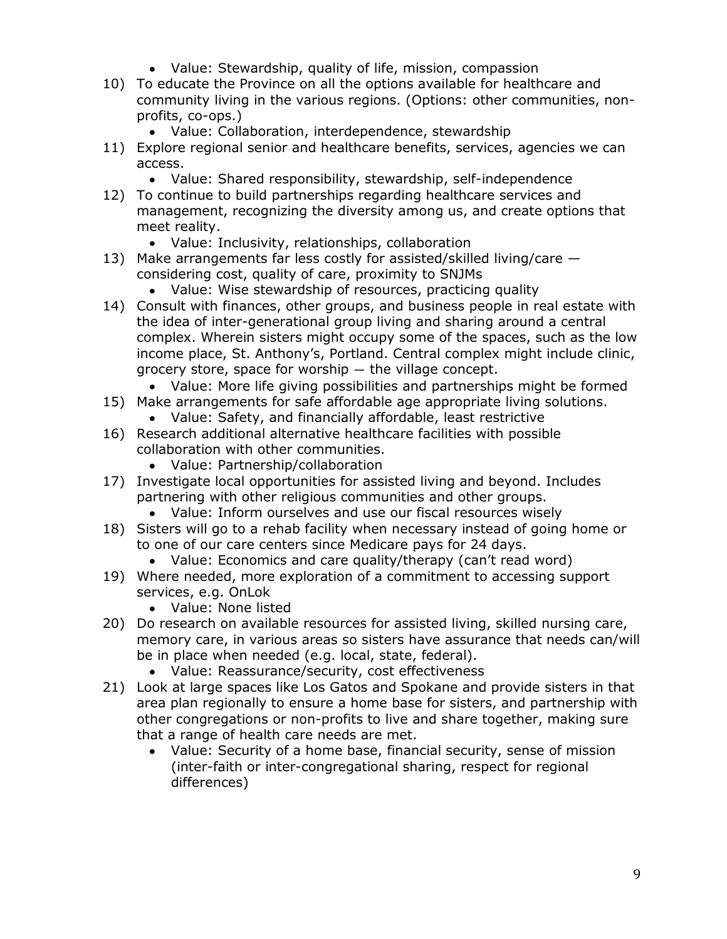- Value: Stewardship, quality of life, mission, compassion
- 10) To educate the Province on all the options available for healthcare and community living in the various regions. (Options: other communities, nonprofits, co-ops.)
	- Value: Collaboration, interdependence, stewardship
- 11) Explore regional senior and healthcare benefits, services, agencies we can access.
	- Value: Shared responsibility, stewardship, self-independence
- 12) To continue to build partnerships regarding healthcare services and management, recognizing the diversity among us, and create options that meet reality.
	- Value: Inclusivity, relationships, collaboration
- 13) Make arrangements far less costly for assisted/skilled living/care considering cost, quality of care, proximity to SNJMs
	- Value: Wise stewardship of resources, practicing quality
- 14) Consult with finances, other groups, and business people in real estate with the idea of inter-generational group living and sharing around a central complex. Wherein sisters might occupy some of the spaces, such as the low income place, St. Anthony's, Portland. Central complex might include clinic, grocery store, space for worship — the village concept.
	- Value: More life giving possibilities and partnerships might be formed
- 15) Make arrangements for safe affordable age appropriate living solutions.
	- Value: Safety, and financially affordable, least restrictive
- 16) Research additional alternative healthcare facilities with possible collaboration with other communities.
	- Value: Partnership/collaboration
- 17) Investigate local opportunities for assisted living and beyond. Includes partnering with other religious communities and other groups.
	- Value: Inform ourselves and use our fiscal resources wisely
- 18) Sisters will go to a rehab facility when necessary instead of going home or to one of our care centers since Medicare pays for 24 days.
	- Value: Economics and care quality/therapy (can't read word)
- 19) Where needed, more exploration of a commitment to accessing support services, e.g. OnLok
	- Value: None listed
- 20) Do research on available resources for assisted living, skilled nursing care, memory care, in various areas so sisters have assurance that needs can/will be in place when needed (e.g. local, state, federal).
	- Value: Reassurance/security, cost effectiveness
- 21) Look at large spaces like Los Gatos and Spokane and provide sisters in that area plan regionally to ensure a home base for sisters, and partnership with other congregations or non-profits to live and share together, making sure that a range of health care needs are met.
	- Value: Security of a home base, financial security, sense of mission (inter-faith or inter-congregational sharing, respect for regional differences)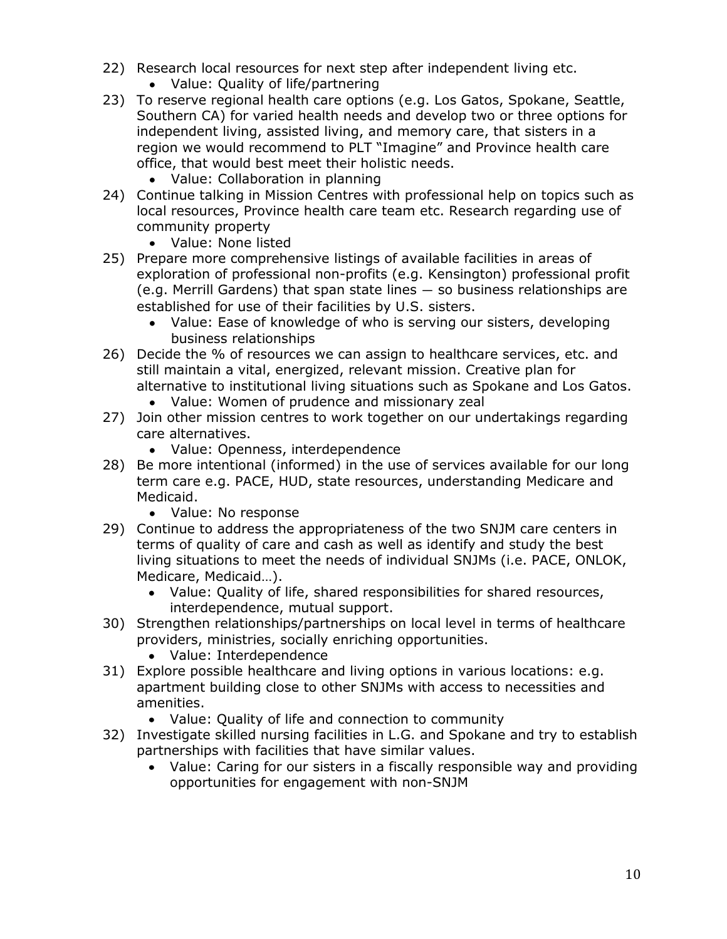- 22) Research local resources for next step after independent living etc.
	- Value: Quality of life/partnering
- 23) To reserve regional health care options (e.g. Los Gatos, Spokane, Seattle, Southern CA) for varied health needs and develop two or three options for independent living, assisted living, and memory care, that sisters in a region we would recommend to PLT "Imagine" and Province health care office, that would best meet their holistic needs.
	- Value: Collaboration in planning
- 24) Continue talking in Mission Centres with professional help on topics such as local resources, Province health care team etc. Research regarding use of community property
	- Value: None listed
- 25) Prepare more comprehensive listings of available facilities in areas of exploration of professional non-profits (e.g. Kensington) professional profit (e.g. Merrill Gardens) that span state lines — so business relationships are established for use of their facilities by U.S. sisters.
	- Value: Ease of knowledge of who is serving our sisters, developing  $\bullet$ business relationships
- 26) Decide the % of resources we can assign to healthcare services, etc. and still maintain a vital, energized, relevant mission. Creative plan for alternative to institutional living situations such as Spokane and Los Gatos.
	- Value: Women of prudence and missionary zeal
- 27) Join other mission centres to work together on our undertakings regarding care alternatives.
	- Value: Openness, interdependence
- 28) Be more intentional (informed) in the use of services available for our long term care e.g. PACE, HUD, state resources, understanding Medicare and Medicaid.
	- Value: No response
- 29) Continue to address the appropriateness of the two SNJM care centers in terms of quality of care and cash as well as identify and study the best living situations to meet the needs of individual SNJMs (i.e. PACE, ONLOK, Medicare, Medicaid…).
	- Value: Quality of life, shared responsibilities for shared resources, interdependence, mutual support.
- 30) Strengthen relationships/partnerships on local level in terms of healthcare providers, ministries, socially enriching opportunities.
	- Value: Interdependence
- 31) Explore possible healthcare and living options in various locations: e.g. apartment building close to other SNJMs with access to necessities and amenities.
	- Value: Quality of life and connection to community
- 32) Investigate skilled nursing facilities in L.G. and Spokane and try to establish partnerships with facilities that have similar values.
	- Value: Caring for our sisters in a fiscally responsible way and providing opportunities for engagement with non-SNJM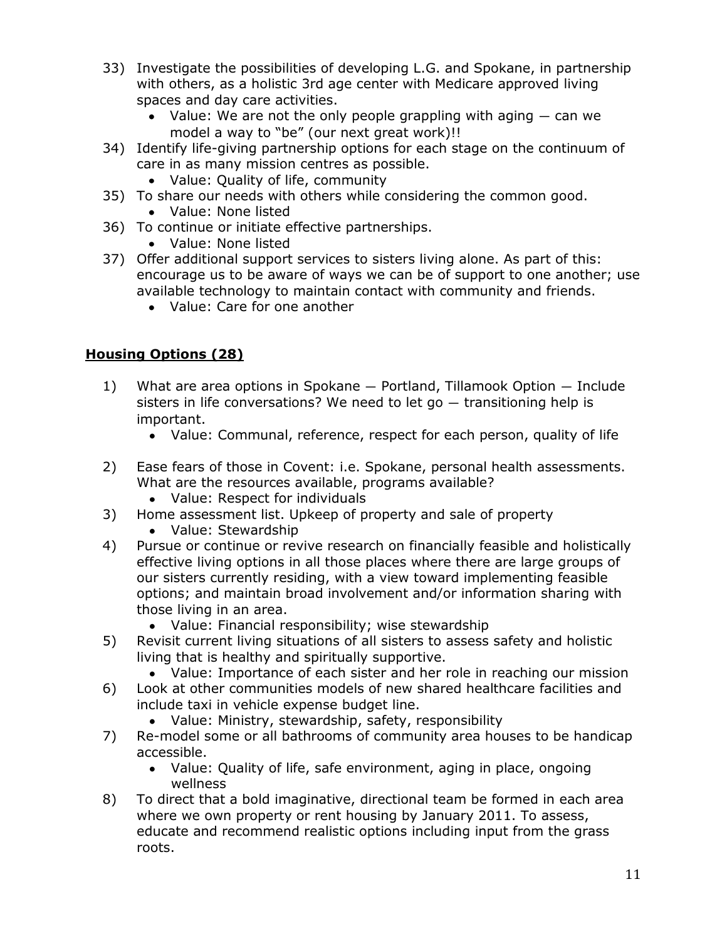- 33) Investigate the possibilities of developing L.G. and Spokane, in partnership with others, as a holistic 3rd age center with Medicare approved living spaces and day care activities.
	- Value: We are not the only people grappling with aging can we model a way to "be" (our next great work)!!
- 34) Identify life-giving partnership options for each stage on the continuum of care in as many mission centres as possible.
	- Value: Quality of life, community
- 35) To share our needs with others while considering the common good. Value: None listed
- 36) To continue or initiate effective partnerships.
	- Value: None listed
- 37) Offer additional support services to sisters living alone. As part of this: encourage us to be aware of ways we can be of support to one another; use available technology to maintain contact with community and friends.
	- Value: Care for one another

#### **Housing Options (28)**

- 1) What are area options in Spokane Portland, Tillamook Option Include sisters in life conversations? We need to let go — transitioning help is important.
	- Value: Communal, reference, respect for each person, quality of life
- 2) Ease fears of those in Covent: i.e. Spokane, personal health assessments. What are the resources available, programs available?
	- Value: Respect for individuals
- 3) Home assessment list. Upkeep of property and sale of property
	- Value: Stewardship
- 4) Pursue or continue or revive research on financially feasible and holistically effective living options in all those places where there are large groups of our sisters currently residing, with a view toward implementing feasible options; and maintain broad involvement and/or information sharing with those living in an area.
	- Value: Financial responsibility; wise stewardship
- 5) Revisit current living situations of all sisters to assess safety and holistic living that is healthy and spiritually supportive.
	- Value: Importance of each sister and her role in reaching our mission
- 6) Look at other communities models of new shared healthcare facilities and include taxi in vehicle expense budget line.
	- Value: Ministry, stewardship, safety, responsibility
- 7) Re-model some or all bathrooms of community area houses to be handicap accessible.
	- Value: Quality of life, safe environment, aging in place, ongoing wellness
- 8) To direct that a bold imaginative, directional team be formed in each area where we own property or rent housing by January 2011. To assess, educate and recommend realistic options including input from the grass roots.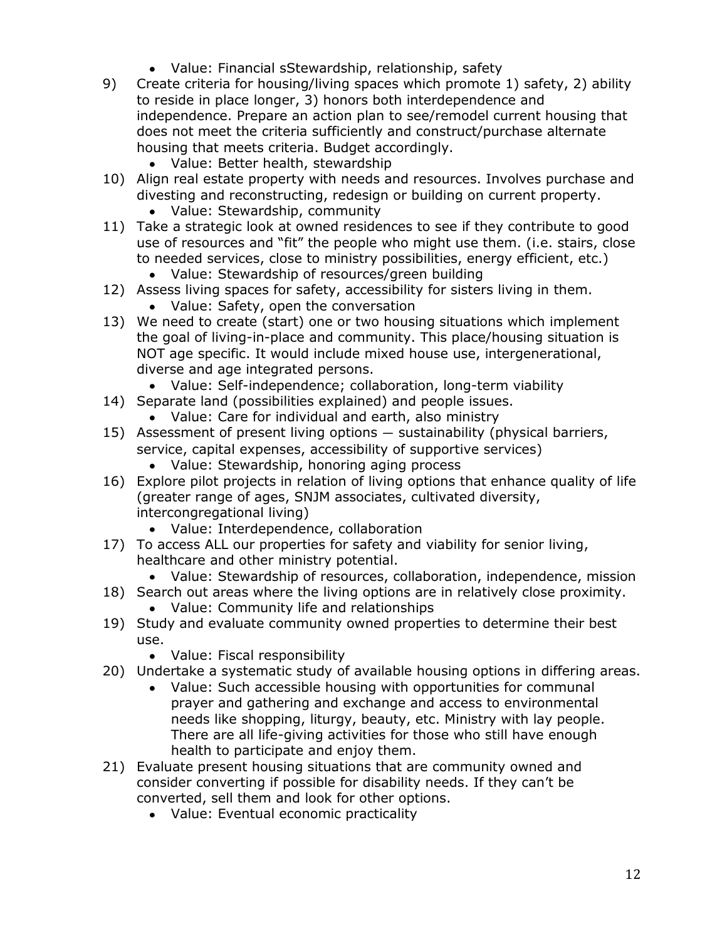- Value: Financial sStewardship, relationship, safety
- 9) Create criteria for housing/living spaces which promote 1) safety, 2) ability to reside in place longer, 3) honors both interdependence and independence. Prepare an action plan to see/remodel current housing that does not meet the criteria sufficiently and construct/purchase alternate housing that meets criteria. Budget accordingly.
	- Value: Better health, stewardship
- 10) Align real estate property with needs and resources. Involves purchase and divesting and reconstructing, redesign or building on current property.
	- Value: Stewardship, community
- 11) Take a strategic look at owned residences to see if they contribute to good use of resources and "fit" the people who might use them. (i.e. stairs, close to needed services, close to ministry possibilities, energy efficient, etc.) Value: Stewardship of resources/green building
- 12) Assess living spaces for safety, accessibility for sisters living in them.
	- Value: Safety, open the conversation
- 13) We need to create (start) one or two housing situations which implement the goal of living-in-place and community. This place/housing situation is NOT age specific. It would include mixed house use, intergenerational, diverse and age integrated persons.
	- Value: Self-independence; collaboration, long-term viability
- 14) Separate land (possibilities explained) and people issues.
	- Value: Care for individual and earth, also ministry
- 15) Assessment of present living options sustainability (physical barriers, service, capital expenses, accessibility of supportive services)
	- Value: Stewardship, honoring aging process
- 16) Explore pilot projects in relation of living options that enhance quality of life (greater range of ages, SNJM associates, cultivated diversity, intercongregational living)
	- Value: Interdependence, collaboration
- 17) To access ALL our properties for safety and viability for senior living, healthcare and other ministry potential.
	- Value: Stewardship of resources, collaboration, independence, mission
- 18) Search out areas where the living options are in relatively close proximity. Value: Community life and relationships
- 19) Study and evaluate community owned properties to determine their best use.
	- Value: Fiscal responsibility
- 20) Undertake a systematic study of available housing options in differing areas.
	- Value: Such accessible housing with opportunities for communal prayer and gathering and exchange and access to environmental needs like shopping, liturgy, beauty, etc. Ministry with lay people. There are all life-giving activities for those who still have enough health to participate and enjoy them.
- 21) Evaluate present housing situations that are community owned and consider converting if possible for disability needs. If they can't be converted, sell them and look for other options.
	- Value: Eventual economic practicality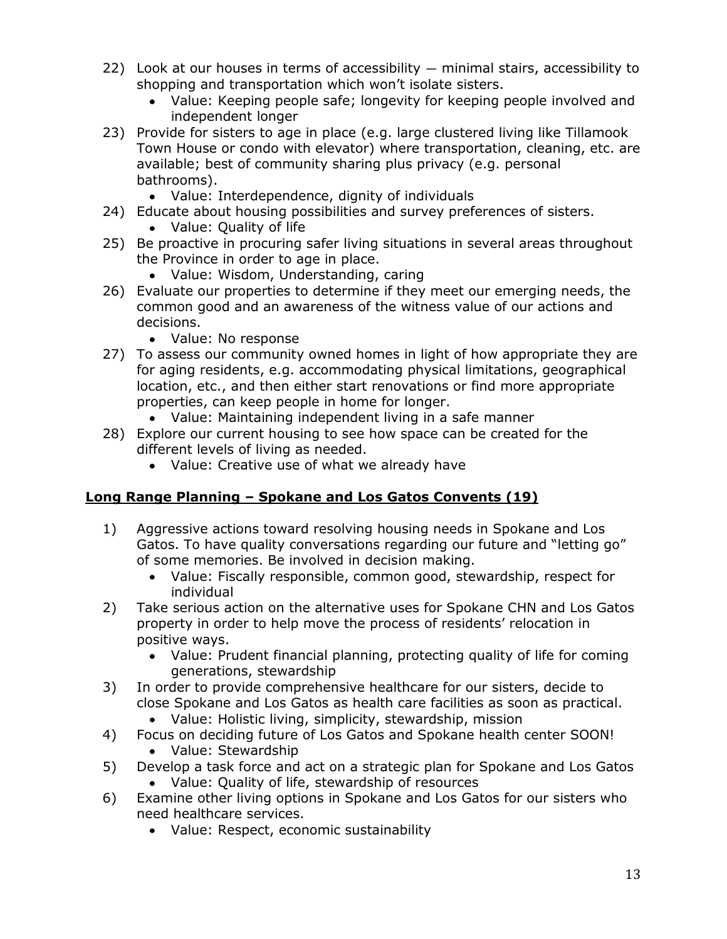- 22) Look at our houses in terms of accessibility minimal stairs, accessibility to shopping and transportation which won't isolate sisters.
	- Value: Keeping people safe; longevity for keeping people involved and independent longer
- 23) Provide for sisters to age in place (e.g. large clustered living like Tillamook Town House or condo with elevator) where transportation, cleaning, etc. are available; best of community sharing plus privacy (e.g. personal bathrooms).
	- Value: Interdependence, dignity of individuals
- 24) Educate about housing possibilities and survey preferences of sisters.
	- Value: Quality of life
- 25) Be proactive in procuring safer living situations in several areas throughout the Province in order to age in place.
	- Value: Wisdom, Understanding, caring
- 26) Evaluate our properties to determine if they meet our emerging needs, the common good and an awareness of the witness value of our actions and decisions.
	- Value: No response
- 27) To assess our community owned homes in light of how appropriate they are for aging residents, e.g. accommodating physical limitations, geographical location, etc., and then either start renovations or find more appropriate properties, can keep people in home for longer.
	- Value: Maintaining independent living in a safe manner
- 28) Explore our current housing to see how space can be created for the different levels of living as needed.
	- Value: Creative use of what we already have

#### **Long Range Planning – Spokane and Los Gatos Convents (19)**

- 1) Aggressive actions toward resolving housing needs in Spokane and Los Gatos. To have quality conversations regarding our future and "letting go" of some memories. Be involved in decision making.
	- Value: Fiscally responsible, common good, stewardship, respect for individual
- 2) Take serious action on the alternative uses for Spokane CHN and Los Gatos property in order to help move the process of residents' relocation in positive ways.
	- Value: Prudent financial planning, protecting quality of life for coming generations, stewardship
- 3) In order to provide comprehensive healthcare for our sisters, decide to close Spokane and Los Gatos as health care facilities as soon as practical.
	- Value: Holistic living, simplicity, stewardship, mission
- 4) Focus on deciding future of Los Gatos and Spokane health center SOON!
	- Value: Stewardship
- 5) Develop a task force and act on a strategic plan for Spokane and Los Gatos Value: Quality of life, stewardship of resources
- 6) Examine other living options in Spokane and Los Gatos for our sisters who need healthcare services.
	- Value: Respect, economic sustainability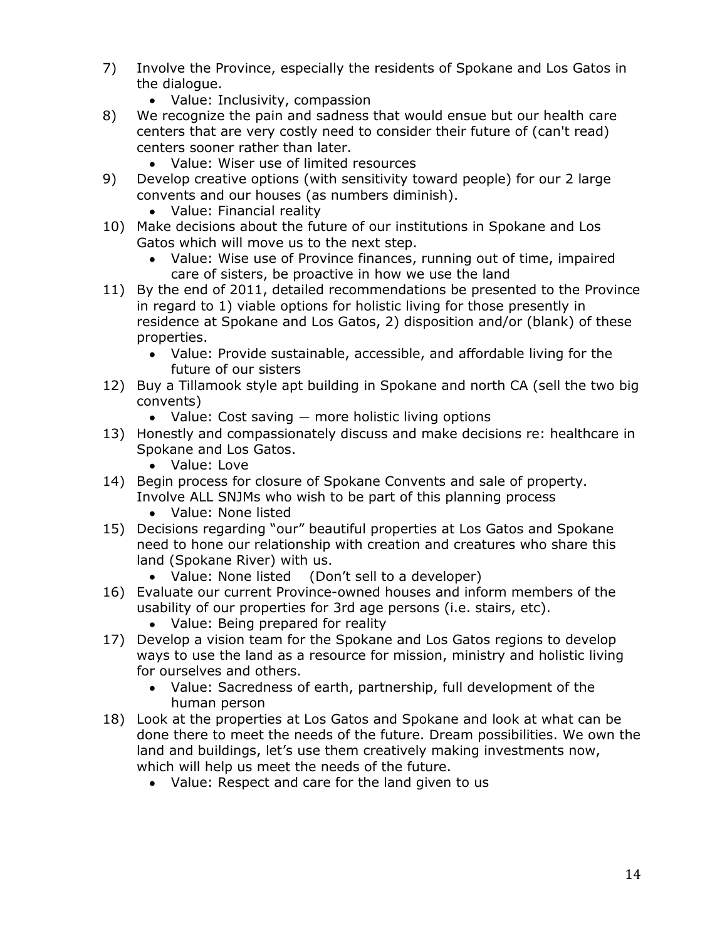- 7) Involve the Province, especially the residents of Spokane and Los Gatos in the dialogue.
	- Value: Inclusivity, compassion
- 8) We recognize the pain and sadness that would ensue but our health care centers that are very costly need to consider their future of (can't read) centers sooner rather than later.
	- Value: Wiser use of limited resources
- 9) Develop creative options (with sensitivity toward people) for our 2 large convents and our houses (as numbers diminish).
	- Value: Financial reality
- 10) Make decisions about the future of our institutions in Spokane and Los Gatos which will move us to the next step.
	- Value: Wise use of Province finances, running out of time, impaired care of sisters, be proactive in how we use the land
- 11) By the end of 2011, detailed recommendations be presented to the Province in regard to 1) viable options for holistic living for those presently in residence at Spokane and Los Gatos, 2) disposition and/or (blank) of these properties.
	- Value: Provide sustainable, accessible, and affordable living for the future of our sisters
- 12) Buy a Tillamook style apt building in Spokane and north CA (sell the two big convents)
	- $\bullet$  Value: Cost saving  $-$  more holistic living options
- 13) Honestly and compassionately discuss and make decisions re: healthcare in Spokane and Los Gatos.
	- Value: Love
- 14) Begin process for closure of Spokane Convents and sale of property. Involve ALL SNJMs who wish to be part of this planning process
	- Value: None listed
- 15) Decisions regarding "our" beautiful properties at Los Gatos and Spokane need to hone our relationship with creation and creatures who share this land (Spokane River) with us.
	- Value: None listed (Don't sell to a developer)
- 16) Evaluate our current Province-owned houses and inform members of the usability of our properties for 3rd age persons (i.e. stairs, etc).
	- Value: Being prepared for reality
- 17) Develop a vision team for the Spokane and Los Gatos regions to develop ways to use the land as a resource for mission, ministry and holistic living for ourselves and others.
	- Value: Sacredness of earth, partnership, full development of the human person
- 18) Look at the properties at Los Gatos and Spokane and look at what can be done there to meet the needs of the future. Dream possibilities. We own the land and buildings, let's use them creatively making investments now, which will help us meet the needs of the future.
	- Value: Respect and care for the land given to us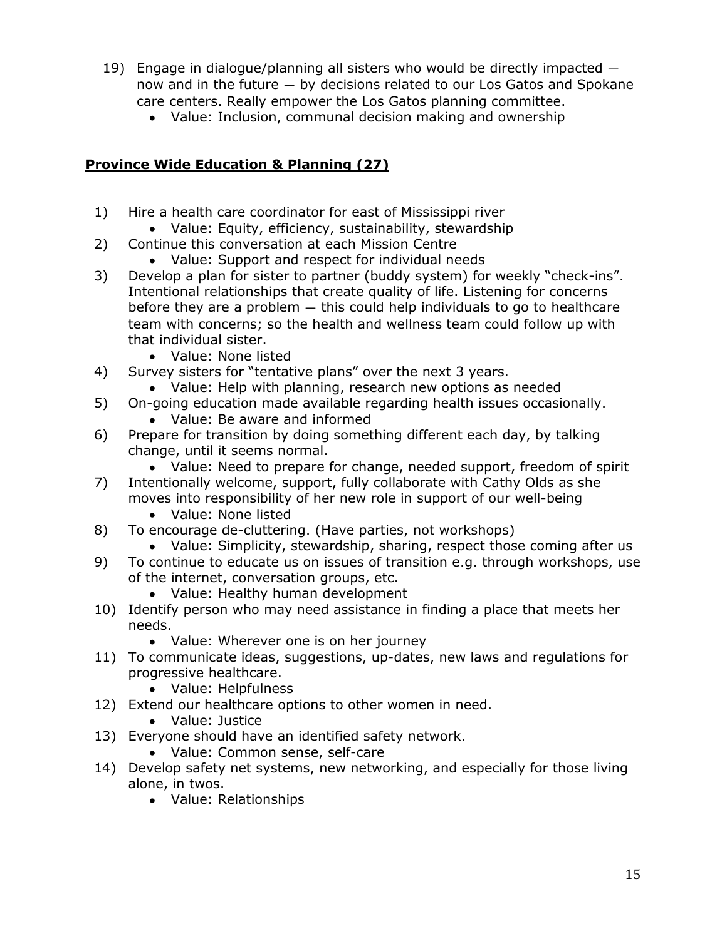- 19) Engage in dialogue/planning all sisters who would be directly impacted now and in the future — by decisions related to our Los Gatos and Spokane care centers. Really empower the Los Gatos planning committee.
	- Value: Inclusion, communal decision making and ownership

### **Province Wide Education & Planning (27)**

- 1) Hire a health care coordinator for east of Mississippi river
	- Value: Equity, efficiency, sustainability, stewardship
- 2) Continue this conversation at each Mission Centre
	- Value: Support and respect for individual needs
- 3) Develop a plan for sister to partner (buddy system) for weekly "check-ins". Intentional relationships that create quality of life. Listening for concerns before they are a problem — this could help individuals to go to healthcare team with concerns; so the health and wellness team could follow up with that individual sister.
	- Value: None listed
- 4) Survey sisters for "tentative plans" over the next 3 years.
	- Value: Help with planning, research new options as needed
- 5) On-going education made available regarding health issues occasionally.
	- Value: Be aware and informed
- 6) Prepare for transition by doing something different each day, by talking change, until it seems normal.
	- Value: Need to prepare for change, needed support, freedom of spirit
- 7) Intentionally welcome, support, fully collaborate with Cathy Olds as she moves into responsibility of her new role in support of our well-being
	- Value: None listed
- 8) To encourage de-cluttering. (Have parties, not workshops)
- Value: Simplicity, stewardship, sharing, respect those coming after us 9) To continue to educate us on issues of transition e.g. through workshops, use of the internet, conversation groups, etc.
	- Value: Healthy human development
- 10) Identify person who may need assistance in finding a place that meets her needs.
	- Value: Wherever one is on her journey
- 11) To communicate ideas, suggestions, up-dates, new laws and regulations for progressive healthcare.
	- Value: Helpfulness
- 12) Extend our healthcare options to other women in need.
	- Value: Justice
- 13) Everyone should have an identified safety network.
	- Value: Common sense, self-care
- 14) Develop safety net systems, new networking, and especially for those living alone, in twos.
	- Value: Relationships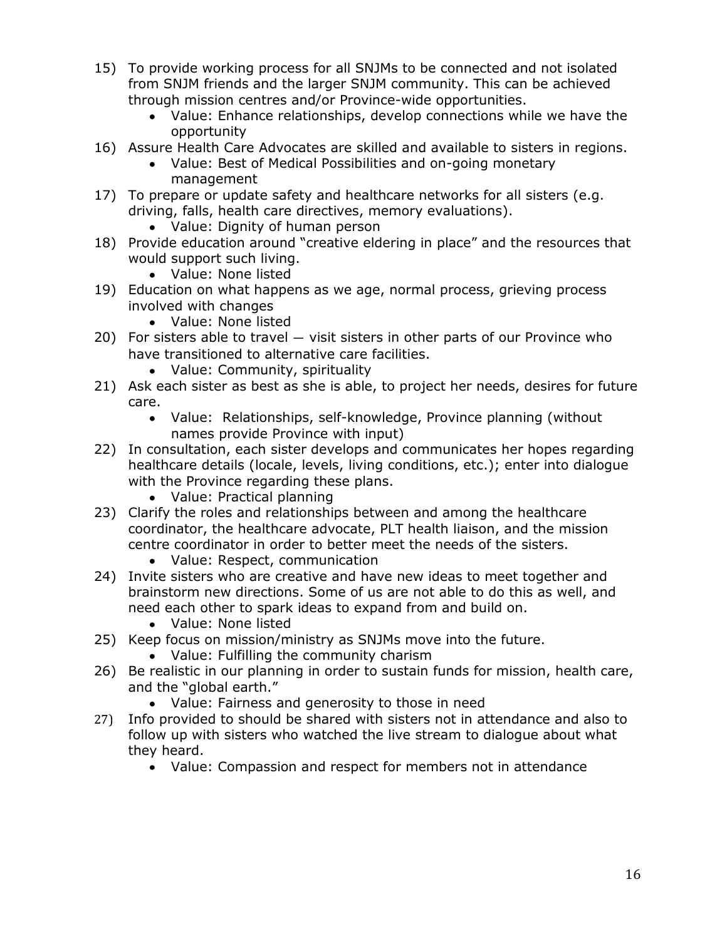- 15) To provide working process for all SNJMs to be connected and not isolated from SNJM friends and the larger SNJM community. This can be achieved through mission centres and/or Province-wide opportunities.
	- Value: Enhance relationships, develop connections while we have the opportunity
- 16) Assure Health Care Advocates are skilled and available to sisters in regions.
	- Value: Best of Medical Possibilities and on-going monetary management
- 17) To prepare or update safety and healthcare networks for all sisters (e.g. driving, falls, health care directives, memory evaluations).
	- Value: Dignity of human person
- 18) Provide education around "creative eldering in place" and the resources that would support such living.
	- Value: None listed
- 19) Education on what happens as we age, normal process, grieving process involved with changes
	- Value: None listed
- 20) For sisters able to travel visit sisters in other parts of our Province who have transitioned to alternative care facilities.
	- Value: Community, spirituality
- 21) Ask each sister as best as she is able, to project her needs, desires for future care.
	- Value: Relationships, self-knowledge, Province planning (without names provide Province with input)
- 22) In consultation, each sister develops and communicates her hopes regarding healthcare details (locale, levels, living conditions, etc.); enter into dialogue with the Province regarding these plans.
	- Value: Practical planning
- 23) Clarify the roles and relationships between and among the healthcare coordinator, the healthcare advocate, PLT health liaison, and the mission centre coordinator in order to better meet the needs of the sisters.
	- Value: Respect, communication
- 24) Invite sisters who are creative and have new ideas to meet together and brainstorm new directions. Some of us are not able to do this as well, and need each other to spark ideas to expand from and build on.
	- Value: None listed
- 25) Keep focus on mission/ministry as SNJMs move into the future.
	- Value: Fulfilling the community charism
- 26) Be realistic in our planning in order to sustain funds for mission, health care, and the "global earth."
	- Value: Fairness and generosity to those in need
- 27) Info provided to should be shared with sisters not in attendance and also to follow up with sisters who watched the live stream to dialogue about what they heard.
	- Value: Compassion and respect for members not in attendance